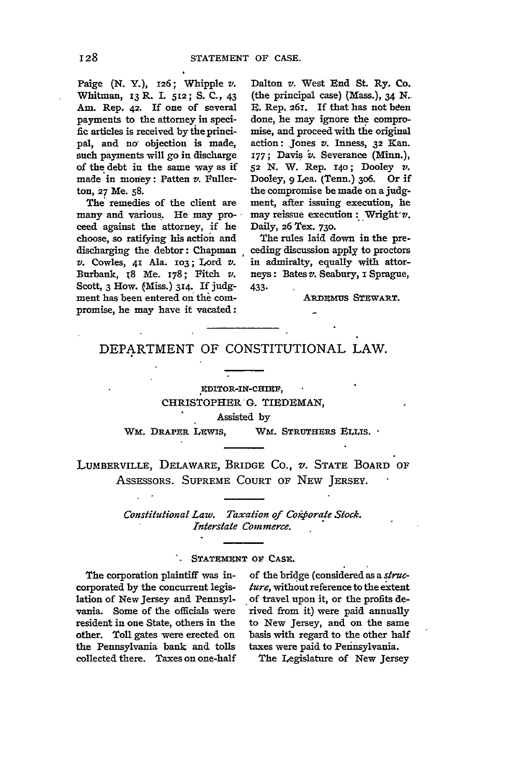Paige (N. Y.), 126; Whipple v. Whitman, 13 **R** 1. **512; S. C.,** 43 Am. Rep. **42.** If one of several payments to the attorney in specific articles is received by the **principal,** and no objection is made, such payments will go in discharge of the debt in the same way as if made in money: Patten *v.* Fullerton, 27 Me. **58.**

The remedies of the client are many and various. He may proceed against the attorney, if he choose, so ratifying his action and discharging the debtor: Chapman *v.* Cowles, 41 Ala. **1O3;** Lord v. Burbank, **I8** Me. 178; Fitch *v.* Scott, **3** How. (Miss.) 314. If **judg**ment has been entered on the compromise, **he** may have it vacated:

Dalton *v.* West End St. Ry. Co. (the principal case) (Mass.), 34 N. E. Rep. 261. If that has not been done, he may ignore the compromise, and proceed with tie original action: Jones *v.* Inness, **32** Kan. 177; Davis v. Severance (Minn.), **52** N. W. Rep. 14o; Dooley *v.* Dooley, **9** Lea. (Tenn.) 3o6. Or if the compromise be made on a **judg**ment, after issuing execution, he may reissue execution: Wright'v. Daily, **26** Tex. 73o.

The rules laid down in the preceding discussion apply to proctors in admiralty, equally with attorneys: Bates *v.* Seabury, i Sprague, 433-

ARDEMUS STEWART.

## DEPARTMENT OF CONSTITUTIONAL LAW.

# **EDITOR-IN-CHIEF,** CHRISTOPHER **G.** TIEDEMAN, Assisted **by**

WM. DRAPER LEWIS, WM. STRUTHERS ELLIS. **·** 

LUMBERVILLE, DELAWARE, BRIDGE CO., v. STATE BOARD OF ASSESSORS. SUPREME COURT OF NEW JERSEY.

> *Constitutional Law. Taxation of Corporate Stock. Interstate Commerce.*

#### STATEMENT OF CASE.

The corporation plaintiff was incorporated by the concurrent legislation of New Jersey and Pennsylvania. Some of the officials were resident in one State, others in the other. Toll gates were erected on the Pennsylvania bank and tolls collected there. Taxes on one-half of the bridge (considered as a *structure,* without reference to the extent of travel upon it, or the profits derived from it) were paid annually to New Jersey, and on the same basis with regard to the other half taxes were paid to Pennsylvania.

The Legislature of New Jersey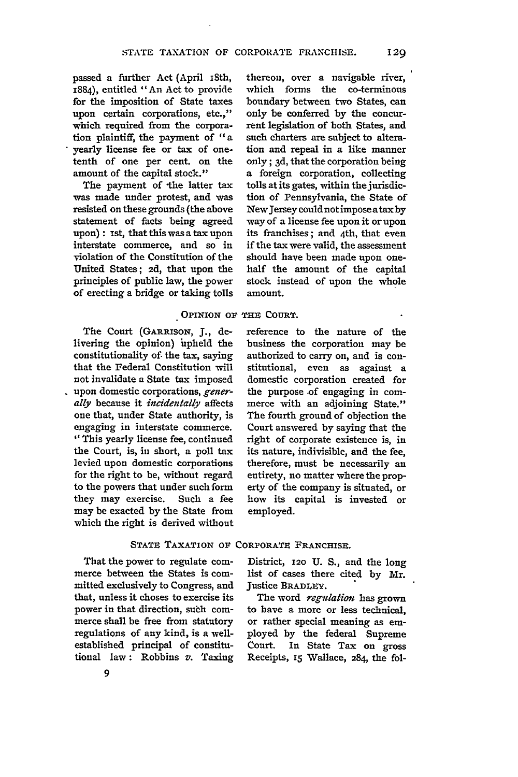passed a further Act (April i8th, 1884), entitled "An Act to provide for the imposition of State taxes upon certain corporations, etc.," which required from the corporation plaintiff, the payment of "a yearly license fee or tax of onetenth of one per cent. on the amount of the capital stock."

The payment of the latter tax was made under protest, and was resisted on these grounds (the above statement of facts being agreed upon) : ist, that this was a tax upon interstate commerce, and so in violation of the Constitution of the United States; 2d, that upon the principles of public law, the power of erecting a bridge or taking tolls

thereon, over a navigable river, which forms the co-terminous boundary between two States, can only be conferred by the concurrent legislation of both States, and such charters are subject to alteration and repeal in a like manner only; 3d, that the corporation being a foreign corporation, collecting tolls at its gates, within the jurisdiction of Pennsylvania, the State of NewJersey could not impose atax by way of a license fee upon it or upon its franchises; and 4th, that even if the tax were valid, the assessment should have been made upon onehalf the amount of the capital stock instead of upon the whole amount.

#### OPINION **OF THE COURT.**

The Court (GARRiSON, **J.,** delivering the opinion) upheld the constitutionality **of.** the tax, saying that the Federal Constitution will not invalidate a State tax imposed upon domestic corporations, *generally* because it *incidentally* affects one that, under State authority, is engaging in interstate commerce. "This yearly license fee, continued the Court, is, in short, a poll tax levied upon domestic corporations for the right to be, without regard to the powers that under such form they may exercise. Such a fee may be exacted **by** the State from which the right is derived without reference to the nature of the business the corporation may be authorized to carry on, and is constitutional, even as against a domestic corporation created for the purpose of engaging in commerce with an adjoining State." The fourth ground of objection the Court answered by saying that the right of corporate existence is, in its nature, indivisible, and the fee, therefore, must be necessarily an entirety, no matter where the property of the company is situated, or how its capital is invested or employed.

### STATE TAXATION OF CORPORATE FRANCHISE.

That the power to regulate commerce between the States is committed exclusively to Congress, and that, unless it choses to exercise its power in that direction, suth commerce shall be free from statutory regulations of any kind, is a wellestablished principal of constitutional law: Robbins *v.* Taxing

District, **120 U. S.,** and the long list of cases there cited **by** Mr. Justice **BRADLEY.**

The word *regulation* has grown to have a more or less technical, or rather special meaning as employed **by** the federal Supreme Court. In State Tax on gross Receipts, *15* Wallace, 284, the fol-

129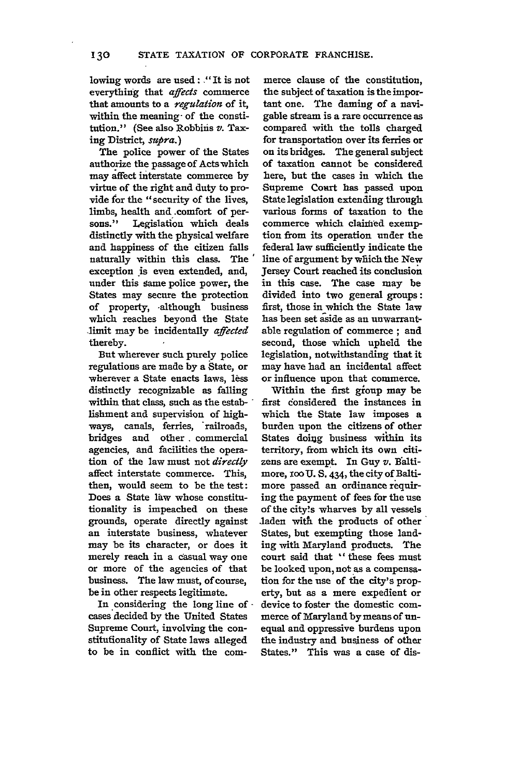lowing words are used: **."** It is not everything that *affects* commerce that amounts to a *regulation of* it, within the meaning- of the constitution." (See also Robbins *v.* Taxing District, *sup ra.)*

The police power of the States authorize the passage of Acts which may affect interstate commerce by virtue of the right and duty to provide for the "security of the lives, limbs, health and .comfort of persons." Legislation which deals distinctly with the physical welfare and happiness of the citizen falls naturally within this class. The exception is even extended, and, under this same police power, the States may secure the protection of property, -although business which reaches beyond the State ,limit may be incidentally *affected* thereby.

But wherever such purely police regulations are made by a State, or wherever a State enacts laws, less distinctly recognizable as falling within that class, such as the establishment and supervision of highways, canals, ferries, railroads, bridges and other commercial agencies, and facilities the operation of the law must not *directly* affect interstate commerce. This, then, would seem to be the test: Does a State law whose constitutionality is impeached on these grounds, operate directly against an interstate business, whatever may be its character, or does it merely reach in a casual way one or more of the agencies of that business. The law must, of course, be in other respects legitimate.

In considering the long line of cases decided **by** the United States Supreme Court, involving the constitufionality of State laws alleged to be in conflict with the com-

merce clause of the constitution, the subject of taxation is the important one. The daming of a navigable stream is a rare occurrence as compared with the tolls charged for transportation over its ferries or on its bridges. The general subject of taxation cannot be considered here, but the cases in which the Supreme Court has passed upon State legislation extending through various forms of taxation to the commerce which claified exemption from its operation under the federal law sufficiently indicate the line of argument **by** which the New Jersey Court reached its conclusion in this case. The case may be divided into two general groups: first, those in which the State law has been set aside as an unwarrantable regulation of commerce **;** and second, those which upheld the legislation, notwithstanding that it may have had an incidental affect or influence upon that commerce.

Within the first gioup may be first donsidered the instances in which the State law imposes a burden upon the citizens of other States doiug business within its territory, from which its own citizens are exempt. In Guy *v.* Baltimore, **1oo U.** S. 434, the city of Baltimore passed an ordinance requiring the payment of fees for the use of the city's wharves by all vessels .laden with the products of other States, but exempting those landing with Maryland products. The court said that **"** these fees must be looked upon, not as a compensation for the use of the city's property, but as a mere expedient or device to foster the domestic commerce of Maryland **by** means of unequal and oppressive burdens upon the industry and business of other States." This was a case of dis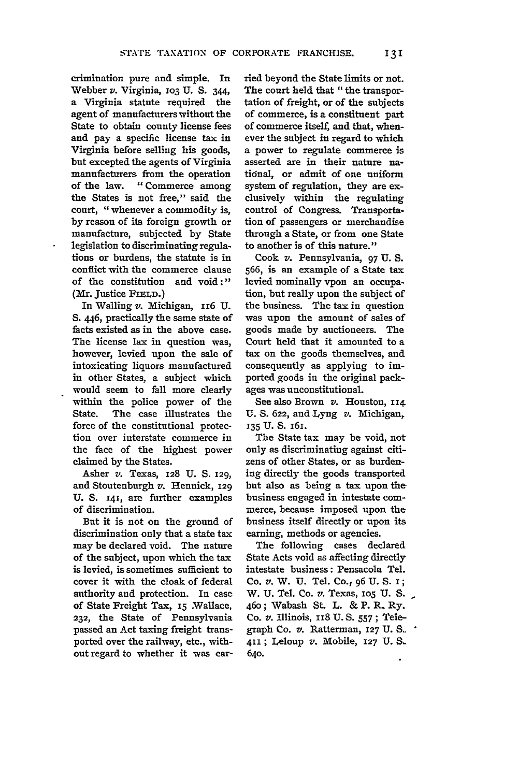crimination pure and simple. In Webber v. Virginia, **1O3 U. S.** 344, a Virginia statute required the agent of manufacturers without the State to obtain county license fees and pay a specific license tax in Virginia before selling his goods, but excepted the agents of Virginia manufacturers from the operation of the law. "Commerce among the States is not free," said the court, "whenever a commodity is, **by** reason of its foreign growth or manufacture, subjected **by** State legislation to discriminating regulations or burdens, the statute is in conflict with the commerce clause of the constitution and void:" (Mr. Justice FIELD.)

In Walling *v.* Michigan, **II6 U.** S. 446, practically the same state of facts existed as in the above case. The license lax in question was, however, levied upon the sale of intoxicating liquors manufactured in other States, a subject which would seem to fall more clearly within the police power of the State. The case illustrates the force of the constitutional protection over interstate commerce in the face of the highest power claimed **by** the States.

Asher *v.* Texas, **128 U. S. 129,** and Stoutenburgh *v.* Hennick, **129** U. **S.** 141, are further examples of discrimination.

But it is not on the ground of discrimination only that a state tax may be declared void. The nature of the subject, upon which the tax is levied, is sometimes sufficient to cover it with the cloak of federal authority and protection. In case of State Freight Tax, **15** Wallace, **232,** the State of Pennsylvania passed an Act taxing freight transported over the railway, etc., withoutregard to whether it was carried beyond the State limits or not. The court held that "the transportation of freight, or of the subjects of commerce, is a constituent part of commerce itself, and that, whenever the subject in regard to which a power to regulate commerce is asserted are in their nature natidnal, or admit of one uniform system of regulation, they are exclusively within the regulating control of Congress. Transportation of passengers or merchandise through a State, or from one State to another is of this nature."

Cook *v.* Pennsylvania, 97 **U.** S. 566, is an example of a State tax levied nominally vpon an occupation, but really upon the subject of the business. The tax in question was upon the amount of sales of goods made by auctioneers. The Court held that it amounted to a tax on the goods themselves, and consequently as applying to imported goods in the original packages was unconstitutional.

See also Brown *v.* Houston, **114 U. S. 622,** and Lyng *v.* Michigan, **135 U. S.** I6I.

The State tax may be void, not only as discriminating against citizens of other States, or as burdening directly the goods transported but also as being a tax upon the business engaged in intestate commerce, because imposed upon the business itself directly or upon its earning, methods or agencies.

The following cases declared State Acts void as affecting directly intestate business: Pensacola Tel. Co. v. W. **U.** Tel. Co., **96 U.** S. I; W. **U.** Tel. Co. *v.* Texas, **105 U. S.-** 460; Wabash St. L. & P. R. Ry. Co. *v.* Illinois, **118 U.S.** 557; Telegraph Co. v. Ratterman, **127** U. **S-**411; Leloup *v.* Mobile, **127** U. S. **64o.**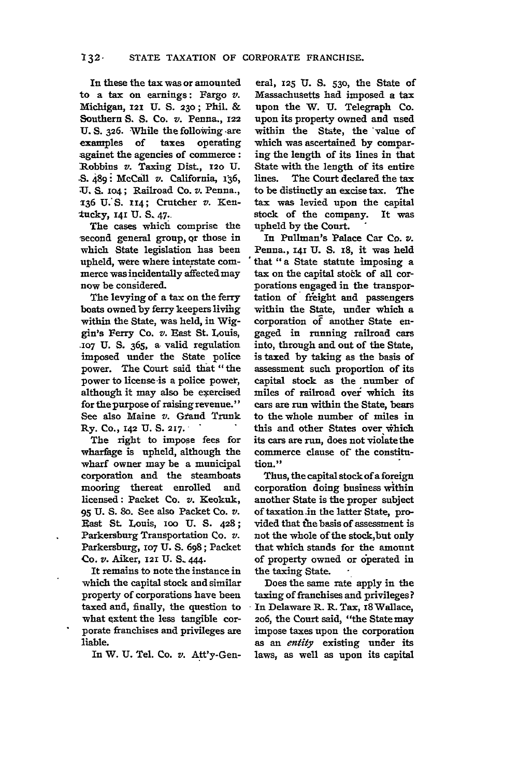In these the **tax** was or amounted to a tax on earnings: Fargo *v.* Michigan, **121 U. S. 230;** Phil. & Southern *S.* **S.** Co. *v.* Penna., **122 U. S. 326.** While the following -are examples of taxes operating againet the agencies of commerce: Robbins v. Taxing Dist., **120 U. .S.** 489: McCall *v.* California, 136, "U. **S. io4;** Railroad Co. *v.* Penna., **136 U.'S. 114;** Crutcher *v.* Ken tucky, 141 U. S. 47.

The cases which comprise the second general group, Qr those in which State legislation has been upheld, were where interstate commerce was incidentally affected may now be considered.

The levying of a tax on the ferry boats owned **by** ferry keepers livilig within the State, was held, in Wiggin's Ferry Co. *v.* East St. Louis, **-107 U. S. 365,** a. valid regulation imposed under the State police power. The Court said that "the power to license is a police power, although it may also be exercised for the purpose of raising revenue." See also Maine *v.* **Gtand** Trunk Ry. Co., **142 U. S. 217."**

The right to impose fees for wharfage is upheld, although the wharf owner may be a municipal corporation and the steamboats mooring thereat enrolled and licensed: Packet Co. *v.* Keokuk, **95 U. S. 8o.** See also Packet Co. *v.* East **St.** Louis, **100 U. S. 428;** Parkersburg Transportation Co. *v.* Parkersburg, **107 U.** S. **698;** Packet Co. *v.* Aiker, **121 U. S.** 444.

It remains to note the instance in which the capital stock and similar property of corporations have been taxed and, finally, the question to what extent the less tangible corporate franchises and privileges are liable.

In W. **U.** Tel. Co. *v.* Att'y-Gen-

eral, **125 U. S. 530,** the State of Massachusetts had imposed a tax upon the W. **U.** Telegraph Co. upon its property owned and used within the State, the 'value of which was ascertained **by** comparing the length of its lines in that State with the length of its entire lines. The Court declared the tax to be distinctly an excise tax. The tax was levied upon the capital stock of the company. It was upheld by the Court.

In Pullman's Palace Car Co. v. Penna., 141 U. S. 18, it was held that **"a** State statute imposing a tax on the capital stock of all corporations engaged in the transportation of freight and passengers within the State, under which a corporation of another State engaged in running railroad cars into, through and out of the State, is taxed by taking as the basis of assessment such proportion of its capital stock as the number of miles of railroad ovei which its cars are run within the State, bears to the whole number of miles in this and other States over which its cars are run, does not vioiate the commerce clause of the constitution."

Thus, the capital stockof **a** foreign corporation doing business within another State is the proper subject of taxation **.in** the latter State, provided that **the** basis of assessment is not the whole of the stock,but only that which stands for the amount of property owned or operated in the taxing State.

Does the same rate apply in the taxing of franchises and privileges? In Delaware R. R. Tax, I8Wallace, **2o6,** the Court said, "the State may impose taxes upon the corporation as an *entity* existing under its laws, as well as upon its capital